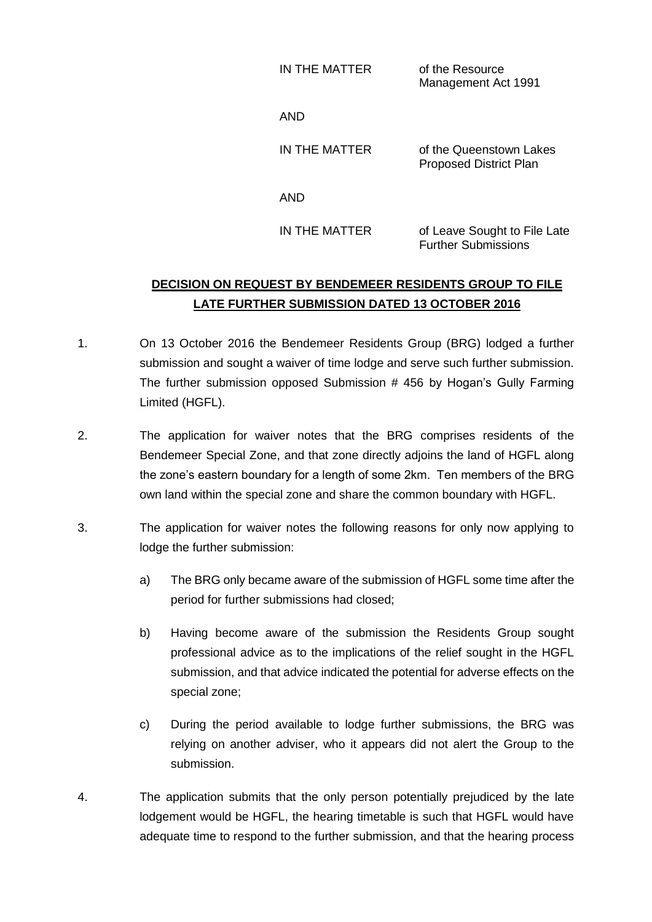IN THE MATTER of the Resource Management Act 1991

AND

IN THE MATTER of the Queenstown Lakes Proposed District Plan

AND

IN THE MATTER of Leave Sought to File Late Further Submissions

## **DECISION ON REQUEST BY BENDEMEER RESIDENTS GROUP TO FILE LATE FURTHER SUBMISSION DATED 13 OCTOBER 2016**

- 1. On 13 October 2016 the Bendemeer Residents Group (BRG) lodged a further submission and sought a waiver of time lodge and serve such further submission. The further submission opposed Submission # 456 by Hogan's Gully Farming Limited (HGFL).
- 2. The application for waiver notes that the BRG comprises residents of the Bendemeer Special Zone, and that zone directly adjoins the land of HGFL along the zone's eastern boundary for a length of some 2km. Ten members of the BRG own land within the special zone and share the common boundary with HGFL.
- 3. The application for waiver notes the following reasons for only now applying to lodge the further submission:
	- a) The BRG only became aware of the submission of HGFL some time after the period for further submissions had closed;
	- b) Having become aware of the submission the Residents Group sought professional advice as to the implications of the relief sought in the HGFL submission, and that advice indicated the potential for adverse effects on the special zone;
	- c) During the period available to lodge further submissions, the BRG was relying on another adviser, who it appears did not alert the Group to the submission.
- 4. The application submits that the only person potentially prejudiced by the late lodgement would be HGFL, the hearing timetable is such that HGFL would have adequate time to respond to the further submission, and that the hearing process